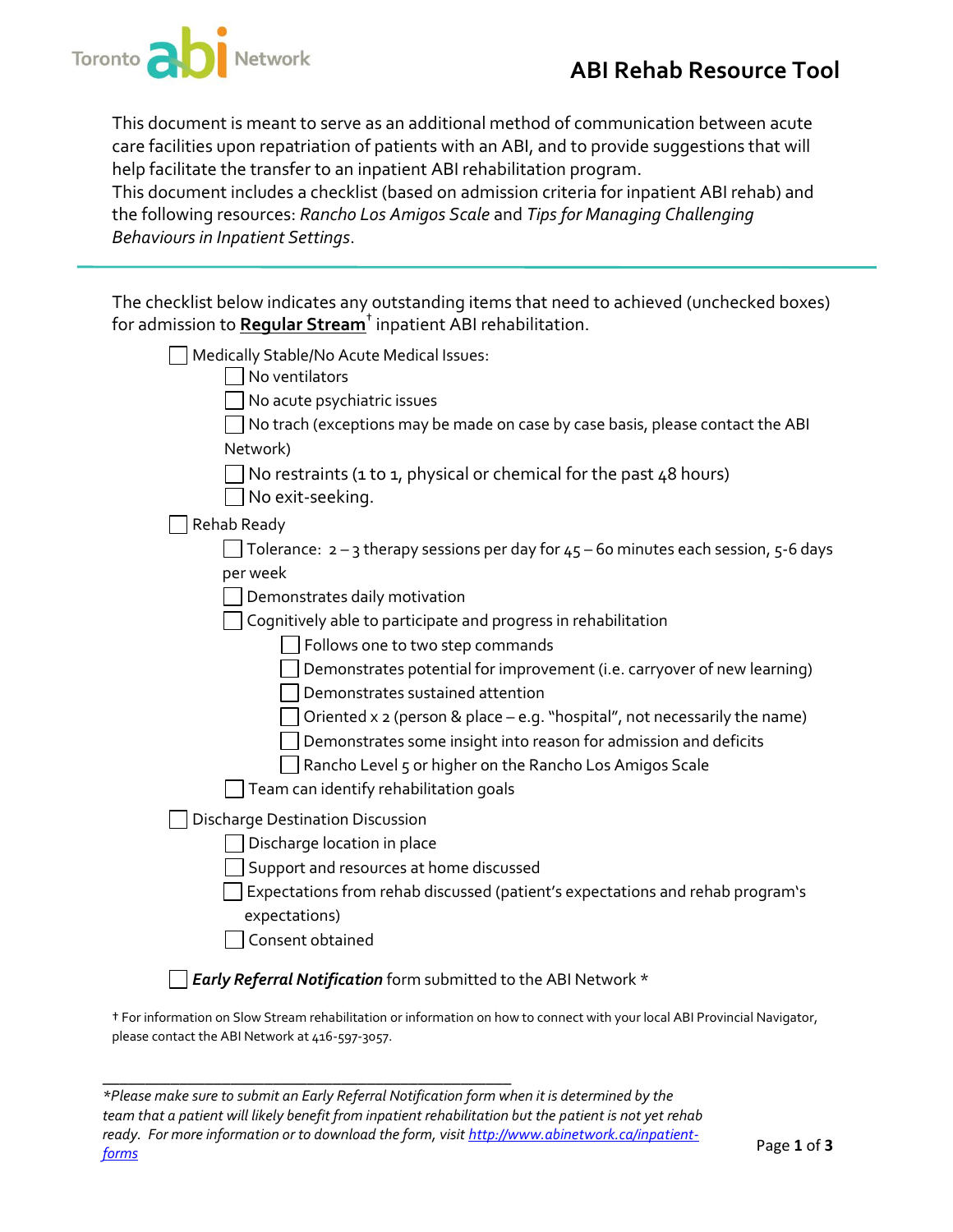

This document is meant to serve as an additional method of communication between acute care facilities upon repatriation of patients with an ABI, and to provide suggestions that will help facilitate the transfer to an inpatient ABI rehabilitation program.

This document includes a checklist (based on admission criteria for inpatient ABI rehab) and the following resources: *Rancho Los Amigos Scale* and *Tips for Managing Challenging Behaviours in Inpatient Settings*.

|                                                                            | The checklist below indicates any outstanding items that need to achieved (unchecked boxes) |
|----------------------------------------------------------------------------|---------------------------------------------------------------------------------------------|
| for admission to Regular Stream <sup>t</sup> inpatient ABI rehabilitation. |                                                                                             |

| Medically Stable/No Acute Medical Issues:                                                |
|------------------------------------------------------------------------------------------|
| No ventilators                                                                           |
| No acute psychiatric issues                                                              |
| No trach (exceptions may be made on case by case basis, please contact the ABI           |
| Network)                                                                                 |
| No restraints (1 to 1, physical or chemical for the past $48$ hours)<br>No exit-seeking. |
| Rehab Ready                                                                              |
| Tolerance: $2 - 3$ therapy sessions per day for $45 - 60$ minutes each session, 5-6 days |
| per week                                                                                 |
| Demonstrates daily motivation                                                            |
| Cognitively able to participate and progress in rehabilitation                           |
| Follows one to two step commands                                                         |
| Demonstrates potential for improvement (i.e. carryover of new learning)                  |
| Demonstrates sustained attention                                                         |
| Oriented $x$ 2 (person & place $-e.g.$ "hospital", not necessarily the name)             |
| Demonstrates some insight into reason for admission and deficits                         |
| Rancho Level 5 or higher on the Rancho Los Amigos Scale                                  |
| Team can identify rehabilitation goals                                                   |
| <b>Discharge Destination Discussion</b>                                                  |
| Discharge location in place                                                              |
| Support and resources at home discussed                                                  |
| Expectations from rehab discussed (patient's expectations and rehab program's            |
| expectations)                                                                            |
| Consent obtained                                                                         |

† For information on Slow Stream rehabilitation or information on how to connect with your local ABI Provincial Navigator, please contact the ABI Network at 416-597-3057.

| *Please make sure to submit an Early Referral Notification form when it is determined by the           |             |
|--------------------------------------------------------------------------------------------------------|-------------|
| team that a patient will likely benefit from inpatient rehabilitation but the patient is not yet rehab |             |
| ready.  For more information or to download the form, visit <u>http://www.abinetwork.ca/inpatient-</u> |             |
| <u>forms</u>                                                                                           | Page 1 of 3 |

\_\_\_\_\_\_\_\_\_\_\_\_\_\_\_\_\_\_\_\_\_\_\_\_\_\_\_\_\_\_\_\_\_\_\_\_\_\_\_\_\_\_\_\_\_\_\_\_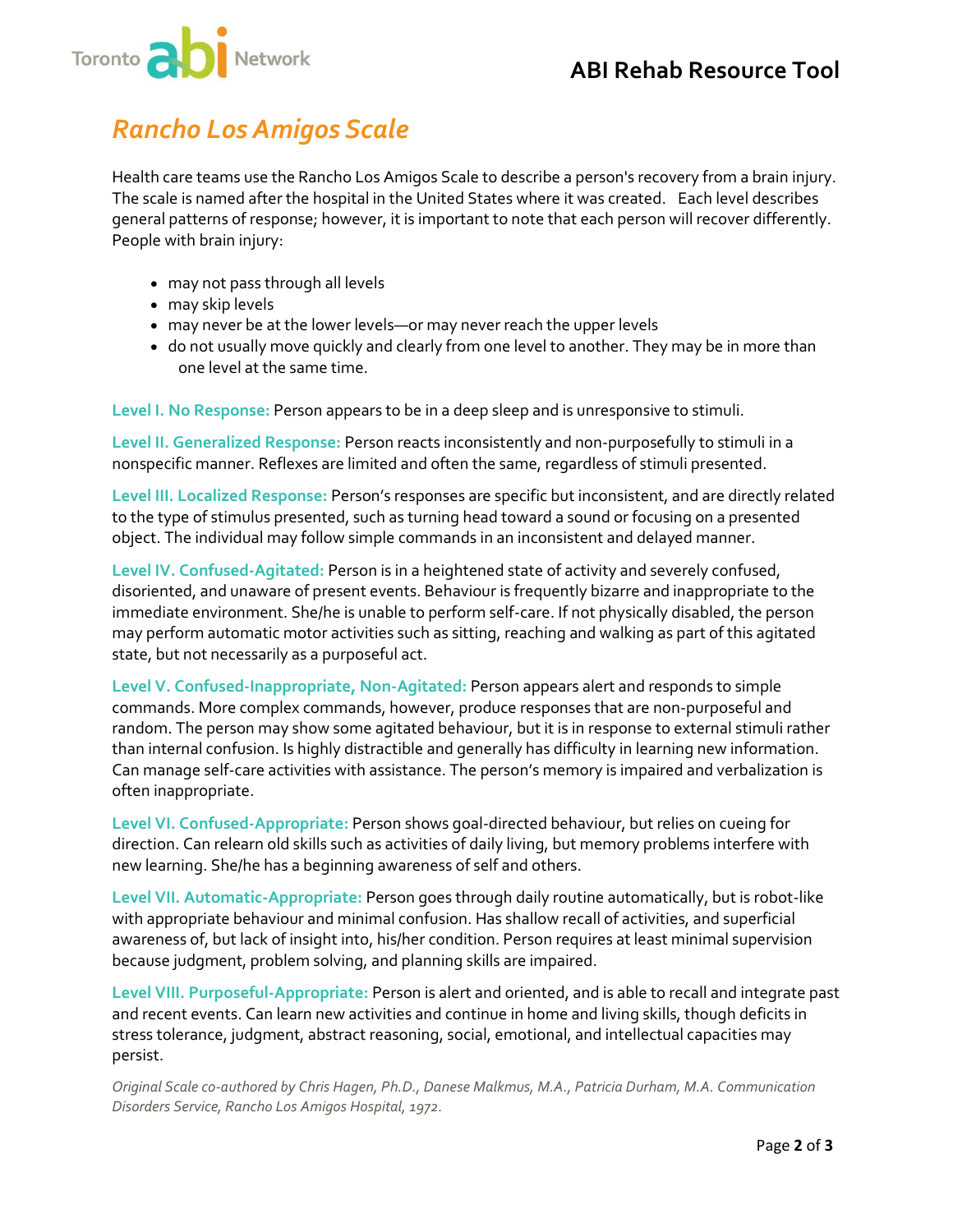

## *Rancho Los Amigos Scale*

Health care teams use the Rancho Los Amigos Scale to describe a person's recovery from a brain injury. The scale is named after the hospital in the United States where it was created.Each level describes general patterns of response; however, it is important to note that each person will recover differently. People with brain injury:

- may not pass through all levels
- may skip levels
- may never be at the lower levels—or may never reach the upper levels
- do not usually move quickly and clearly from one level to another. They may be in more than one level at the same time.

**Level I. No Response:** Person appears to be in a deep sleep and is unresponsive to stimuli.

**Level II. Generalized Response:** Person reacts inconsistently and non-purposefully to stimuli in a nonspecific manner. Reflexes are limited and often the same, regardless of stimuli presented.

**Level III. Localized Response:** Person's responses are specific but inconsistent, and are directly related to the type of stimulus presented, such as turning head toward a sound or focusing on a presented object. The individual may follow simple commands in an inconsistent and delayed manner.

**Level IV. Confused-Agitated:** Person is in a heightened state of activity and severely confused, disoriented, and unaware of present events. Behaviour is frequently bizarre and inappropriate to the immediate environment. She/he is unable to perform self-care. If not physically disabled, the person may perform automatic motor activities such as sitting, reaching and walking as part of this agitated state, but not necessarily as a purposeful act.

**Level V. Confused-Inappropriate, Non-Agitated:** Person appears alert and responds to simple commands. More complex commands, however, produce responses that are non-purposeful and random. The person may show some agitated behaviour, but it is in response to external stimuli rather than internal confusion. Is highly distractible and generally has difficulty in learning new information. Can manage self-care activities with assistance. The person's memory is impaired and verbalization is often inappropriate.

**Level VI. Confused-Appropriate:** Person shows goal-directed behaviour, but relies on cueing for direction. Can relearn old skills such as activities of daily living, but memory problems interfere with new learning. She/he has a beginning awareness of self and others.

**Level VII. Automatic-Appropriate:** Person goes through daily routine automatically, but is robot-like with appropriate behaviour and minimal confusion. Has shallow recall of activities, and superficial awareness of, but lack of insight into, his/her condition. Person requires at least minimal supervision because judgment, problem solving, and planning skills are impaired.

**Level VIII. Purposeful-Appropriate:** Person is alert and oriented, and is able to recall and integrate past and recent events. Can learn new activities and continue in home and living skills, though deficits in stress tolerance, judgment, abstract reasoning, social, emotional, and intellectual capacities may persist.

*Original Scale co-authored by Chris Hagen, Ph.D., Danese Malkmus, M.A., Patricia Durham, M.A. Communication Disorders Service, Rancho Los Amigos Hospital, 1972.*